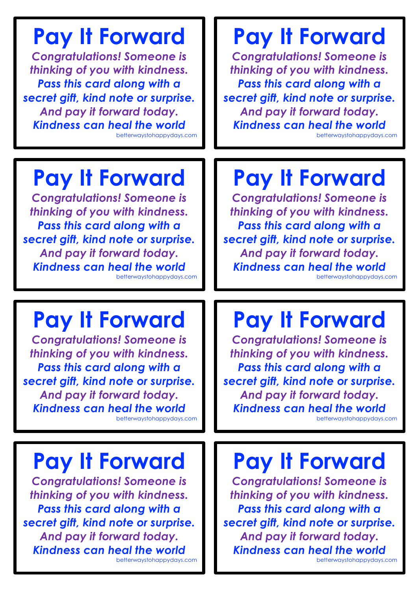## **Pay It Forward**

*Congratulations! Someone is thinking of you with kindness. Pass this card along with a secret gift, kind note or surprise. And pay it forward today. Kindness can heal the world* betterwaystohappydays.com

#### **Pay It Forward**

*Congratulations! Someone is thinking of you with kindness. Pass this card along with a secret gift, kind note or surprise. And pay it forward today. Kindness can heal the world* betterwaystohappydays.com

## **Pay It Forward**

*Congratulations! Someone is thinking of you with kindness. Pass this card along with a secret gift, kind note or surprise. And pay it forward today. Kindness can heal the world* betterwaystohappydays.com

#### **Pay It Forward**

*Congratulations! Someone is thinking of you with kindness. Pass this card along with a secret gift, kind note or surprise. And pay it forward today. Kindness can heal the world* betterwaystohappydays.com

## **Pay It Forward**

*Congratulations! Someone is thinking of you with kindness. Pass this card along with a secret gift, kind note or surprise. And pay it forward today. Kindness can heal the world*

betterwaystohappydays.com

## **Pay It Forward**

*Congratulations! Someone is thinking of you with kindness. Pass this card along with a secret gift, kind note or surprise. And pay it forward today. Kindness can heal the world* betterwaystohappydays.com

## **Pay It Forward**

*Congratulations! Someone is thinking of you with kindness. Pass this card along with a secret gift, kind note or surprise. And pay it forward today. Kindness can heal the world*

betterwaystohappydays.com

## **Pay It Forward**

*Congratulations! Someone is thinking of you with kindness. Pass this card along with a secret gift, kind note or surprise. And pay it forward today. Kindness can heal the world* betterwaystohappydays.com